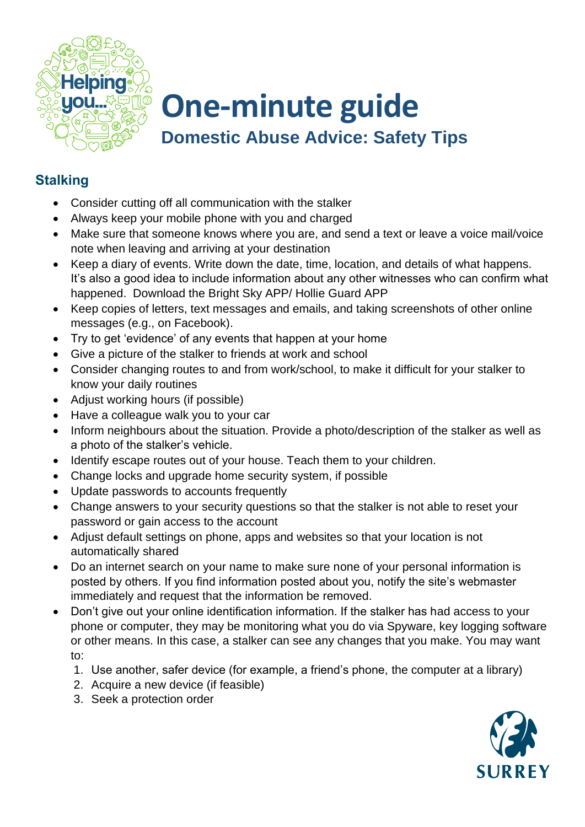

## **One-minute guide Domestic Abuse Advice: Safety Tips**

## **Stalking**

- Consider cutting off all communication with the stalker
- Always keep your mobile phone with you and charged
- Make sure that someone knows where you are, and send a text or leave a voice mail/voice note when leaving and arriving at your destination
- Keep a diary of events. Write down the date, time, location, and details of what happens. It's also a good idea to include information about any other witnesses who can confirm what happened. Download the Bright Sky APP/ Hollie Guard APP
- Keep copies of letters, text messages and emails, and taking screenshots of other online messages (e.g., on Facebook).
- Try to get 'evidence' of any events that happen at your home
- Give a picture of the stalker to friends at work and school
- Consider changing routes to and from work/school, to make it difficult for your stalker to know your daily routines
- Adjust working hours (if possible)
- Have a colleague walk you to your car
- Inform neighbours about the situation. Provide a photo/description of the stalker as well as a photo of the stalker's vehicle.
- Identify escape routes out of your house. Teach them to your children.
- Change locks and upgrade home security system, if possible
- Update passwords to accounts frequently
- Change answers to your security questions so that the stalker is not able to reset your password or gain access to the account
- Adjust default settings on phone, apps and websites so that your location is not automatically shared
- Do an internet search on your name to make sure none of your personal information is posted by others. If you find information posted about you, notify the site's webmaster immediately and request that the information be removed.
- Don't give out your online identification information. If the stalker has had access to your phone or computer, they may be monitoring what you do via Spyware, key logging software or other means. In this case, a stalker can see any changes that you make. You may want to:
	- 1. Use another, safer device (for example, a friend's phone, the computer at a library)
	- 2. Acquire a new device (if feasible)
	- 3. Seek a protection order